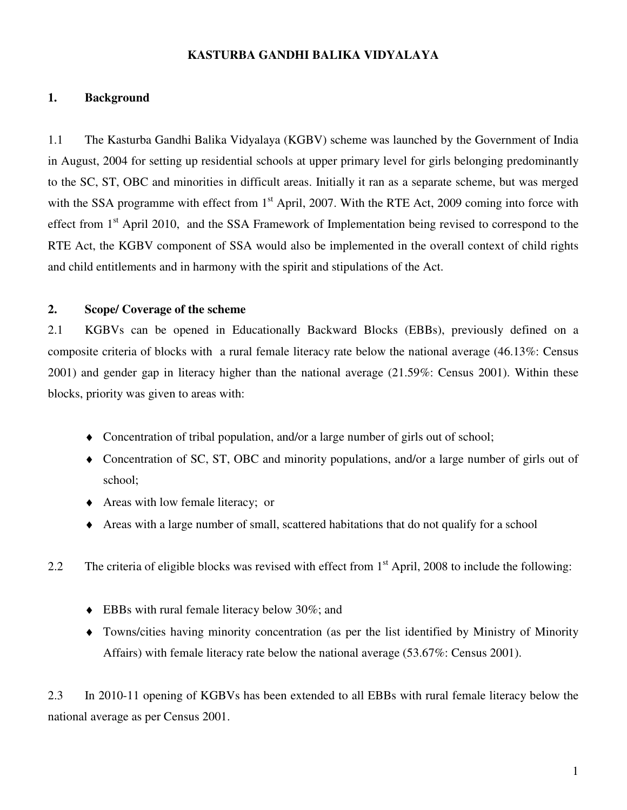### **KASTURBA GANDHI BALIKA VIDYALAYA**

#### **1. Background**

1.1 The Kasturba Gandhi Balika Vidyalaya (KGBV) scheme was launched by the Government of India in August, 2004 for setting up residential schools at upper primary level for girls belonging predominantly to the SC, ST, OBC and minorities in difficult areas. Initially it ran as a separate scheme, but was merged with the SSA programme with effect from 1<sup>st</sup> April, 2007. With the RTE Act, 2009 coming into force with effect from 1<sup>st</sup> April 2010, and the SSA Framework of Implementation being revised to correspond to the RTE Act, the KGBV component of SSA would also be implemented in the overall context of child rights and child entitlements and in harmony with the spirit and stipulations of the Act.

#### **2. Scope/ Coverage of the scheme**

2.1 KGBVs can be opened in Educationally Backward Blocks (EBBs), previously defined on a composite criteria of blocks with a rural female literacy rate below the national average (46.13%: Census 2001) and gender gap in literacy higher than the national average (21.59%: Census 2001). Within these blocks, priority was given to areas with:

- ♦ Concentration of tribal population, and/or a large number of girls out of school;
- ♦ Concentration of SC, ST, OBC and minority populations, and/or a large number of girls out of school;
- ♦ Areas with low female literacy; or
- ♦ Areas with a large number of small, scattered habitations that do not qualify for a school
- 2.2 The criteria of eligible blocks was revised with effect from 1<sup>st</sup> April, 2008 to include the following:
	- ♦ EBBs with rural female literacy below 30%; and
	- ♦ Towns/cities having minority concentration (as per the list identified by Ministry of Minority Affairs) with female literacy rate below the national average (53.67%: Census 2001).

2.3 In 2010-11 opening of KGBVs has been extended to all EBBs with rural female literacy below the national average as per Census 2001.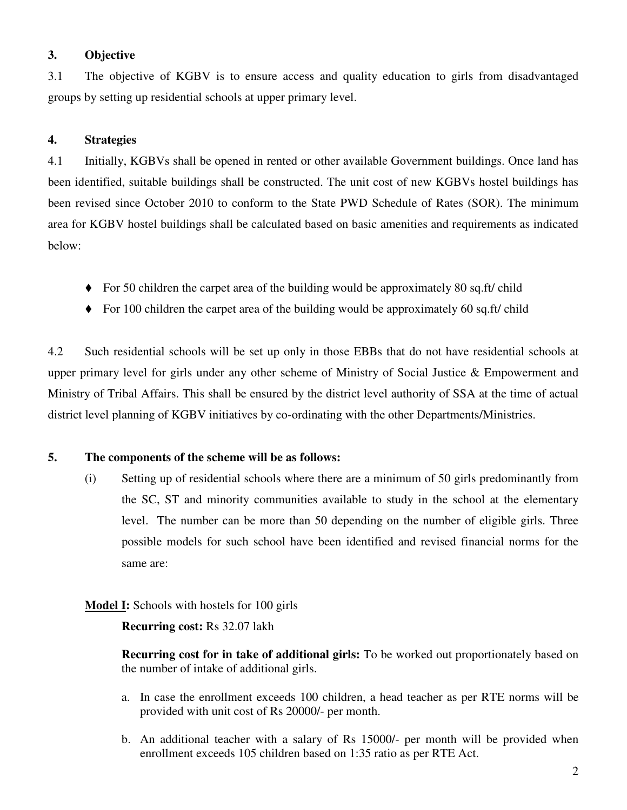### **3. Objective**

3.1 The objective of KGBV is to ensure access and quality education to girls from disadvantaged groups by setting up residential schools at upper primary level.

## **4. Strategies**

4.1 Initially, KGBVs shall be opened in rented or other available Government buildings. Once land has been identified, suitable buildings shall be constructed. The unit cost of new KGBVs hostel buildings has been revised since October 2010 to conform to the State PWD Schedule of Rates (SOR). The minimum area for KGBV hostel buildings shall be calculated based on basic amenities and requirements as indicated below:

- For 50 children the carpet area of the building would be approximately 80 sq.ft/ child
- $\blacklozenge$  For 100 children the carpet area of the building would be approximately 60 sq.ft/ child

4.2 Such residential schools will be set up only in those EBBs that do not have residential schools at upper primary level for girls under any other scheme of Ministry of Social Justice & Empowerment and Ministry of Tribal Affairs. This shall be ensured by the district level authority of SSA at the time of actual district level planning of KGBV initiatives by co-ordinating with the other Departments/Ministries.

### **5. The components of the scheme will be as follows:**

(i) Setting up of residential schools where there are a minimum of 50 girls predominantly from the SC, ST and minority communities available to study in the school at the elementary level. The number can be more than 50 depending on the number of eligible girls. Three possible models for such school have been identified and revised financial norms for the same are:

### **Model I:** Schools with hostels for 100 girls

**Recurring cost:** Rs 32.07 lakh

**Recurring cost for in take of additional girls:** To be worked out proportionately based on the number of intake of additional girls.

- a. In case the enrollment exceeds 100 children, a head teacher as per RTE norms will be provided with unit cost of Rs 20000/- per month.
- b. An additional teacher with a salary of Rs 15000/- per month will be provided when enrollment exceeds 105 children based on 1:35 ratio as per RTE Act.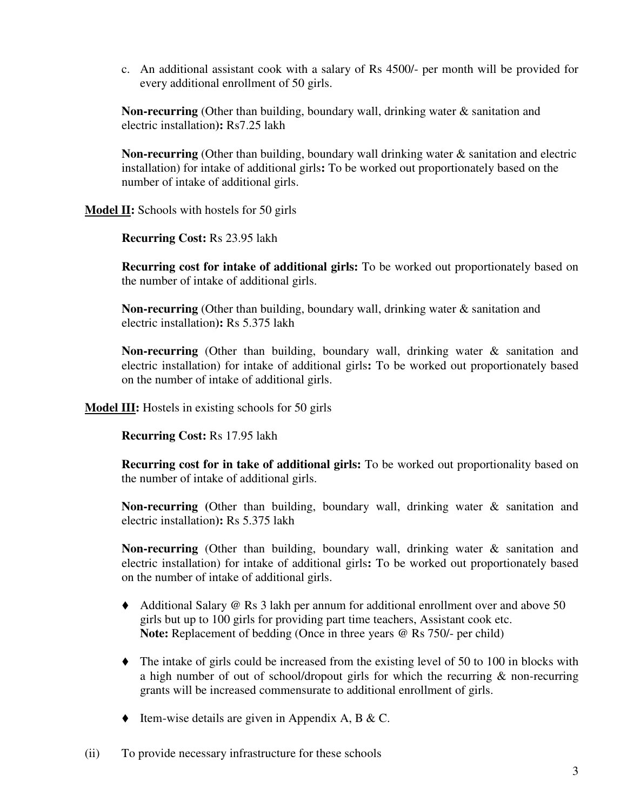c. An additional assistant cook with a salary of Rs 4500/- per month will be provided for every additional enrollment of 50 girls.

**Non-recurring** (Other than building, boundary wall, drinking water & sanitation and electric installation**):** Rs7.25 lakh

**Non-recurring** (Other than building, boundary wall drinking water & sanitation and electric installation) for intake of additional girls**:** To be worked out proportionately based on the number of intake of additional girls.

**Model II:** Schools with hostels for 50 girls

**Recurring Cost:** Rs 23.95 lakh

**Recurring cost for intake of additional girls:** To be worked out proportionately based on the number of intake of additional girls.

**Non-recurring** (Other than building, boundary wall, drinking water & sanitation and electric installation**):** Rs 5.375 lakh

**Non-recurring** (Other than building, boundary wall, drinking water & sanitation and electric installation) for intake of additional girls**:** To be worked out proportionately based on the number of intake of additional girls.

**Model III:** Hostels in existing schools for 50 girls

**Recurring Cost:** Rs 17.95 lakh

**Recurring cost for in take of additional girls:** To be worked out proportionality based on the number of intake of additional girls.

**Non-recurring (**Other than building, boundary wall, drinking water & sanitation and electric installation**):** Rs 5.375 lakh

**Non-recurring** (Other than building, boundary wall, drinking water & sanitation and electric installation) for intake of additional girls**:** To be worked out proportionately based on the number of intake of additional girls.

- Additional Salary @ Rs 3 lakh per annum for additional enrollment over and above 50 girls but up to 100 girls for providing part time teachers, Assistant cook etc. **Note:** Replacement of bedding (Once in three years @ Rs 750/- per child)
- $\blacklozenge$  The intake of girls could be increased from the existing level of 50 to 100 in blocks with a high number of out of school/dropout girls for which the recurring & non-recurring grants will be increased commensurate to additional enrollment of girls.
- $\blacklozenge$  Item-wise details are given in Appendix A, B & C.

(ii) To provide necessary infrastructure for these schools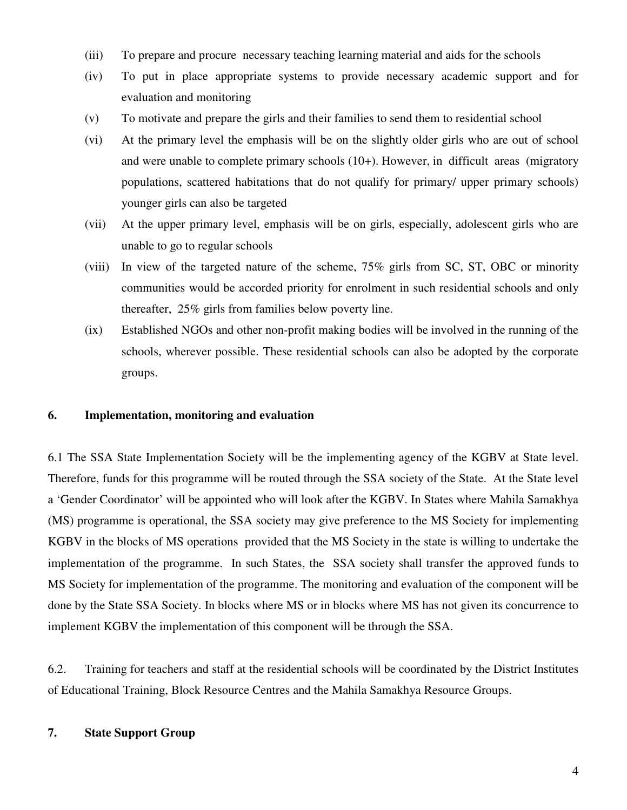- (iii) To prepare and procure necessary teaching learning material and aids for the schools
- (iv) To put in place appropriate systems to provide necessary academic support and for evaluation and monitoring
- (v) To motivate and prepare the girls and their families to send them to residential school
- (vi) At the primary level the emphasis will be on the slightly older girls who are out of school and were unable to complete primary schools (10+). However, in difficult areas (migratory populations, scattered habitations that do not qualify for primary/ upper primary schools) younger girls can also be targeted
- (vii) At the upper primary level, emphasis will be on girls, especially, adolescent girls who are unable to go to regular schools
- (viii) In view of the targeted nature of the scheme, 75% girls from SC, ST, OBC or minority communities would be accorded priority for enrolment in such residential schools and only thereafter, 25% girls from families below poverty line.
- (ix) Established NGOs and other non-profit making bodies will be involved in the running of the schools, wherever possible. These residential schools can also be adopted by the corporate groups.

#### **6. Implementation, monitoring and evaluation**

6.1 The SSA State Implementation Society will be the implementing agency of the KGBV at State level. Therefore, funds for this programme will be routed through the SSA society of the State. At the State level a 'Gender Coordinator' will be appointed who will look after the KGBV. In States where Mahila Samakhya (MS) programme is operational, the SSA society may give preference to the MS Society for implementing KGBV in the blocks of MS operations provided that the MS Society in the state is willing to undertake the implementation of the programme. In such States, the SSA society shall transfer the approved funds to MS Society for implementation of the programme. The monitoring and evaluation of the component will be done by the State SSA Society. In blocks where MS or in blocks where MS has not given its concurrence to implement KGBV the implementation of this component will be through the SSA.

6.2. Training for teachers and staff at the residential schools will be coordinated by the District Institutes of Educational Training, Block Resource Centres and the Mahila Samakhya Resource Groups.

#### **7. State Support Group**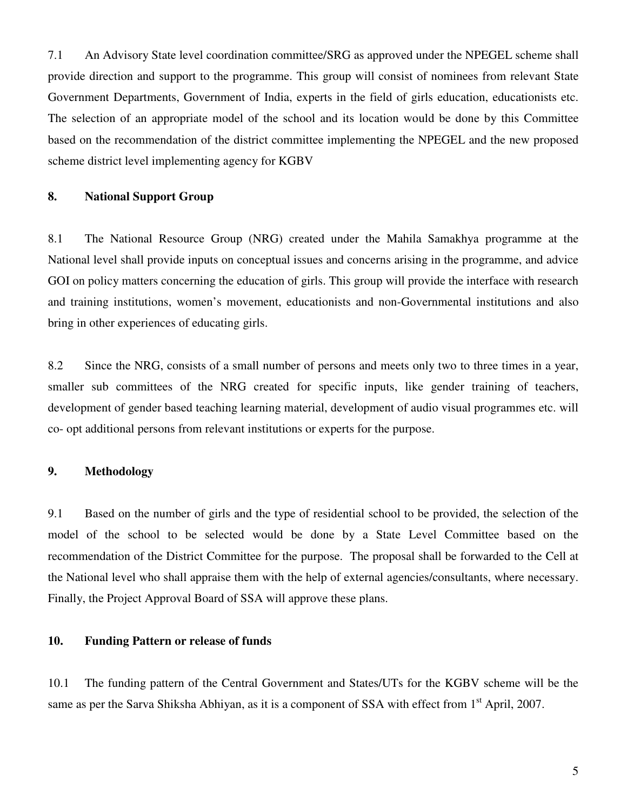7.1 An Advisory State level coordination committee/SRG as approved under the NPEGEL scheme shall provide direction and support to the programme. This group will consist of nominees from relevant State Government Departments, Government of India, experts in the field of girls education, educationists etc. The selection of an appropriate model of the school and its location would be done by this Committee based on the recommendation of the district committee implementing the NPEGEL and the new proposed scheme district level implementing agency for KGBV

#### **8. National Support Group**

8.1 The National Resource Group (NRG) created under the Mahila Samakhya programme at the National level shall provide inputs on conceptual issues and concerns arising in the programme, and advice GOI on policy matters concerning the education of girls. This group will provide the interface with research and training institutions, women's movement, educationists and non-Governmental institutions and also bring in other experiences of educating girls.

8.2 Since the NRG, consists of a small number of persons and meets only two to three times in a year, smaller sub committees of the NRG created for specific inputs, like gender training of teachers, development of gender based teaching learning material, development of audio visual programmes etc. will co- opt additional persons from relevant institutions or experts for the purpose.

#### **9. Methodology**

9.1 Based on the number of girls and the type of residential school to be provided, the selection of the model of the school to be selected would be done by a State Level Committee based on the recommendation of the District Committee for the purpose. The proposal shall be forwarded to the Cell at the National level who shall appraise them with the help of external agencies/consultants, where necessary. Finally, the Project Approval Board of SSA will approve these plans.

#### **10. Funding Pattern or release of funds**

10.1 The funding pattern of the Central Government and States/UTs for the KGBV scheme will be the same as per the Sarva Shiksha Abhiyan, as it is a component of SSA with effect from 1<sup>st</sup> April, 2007.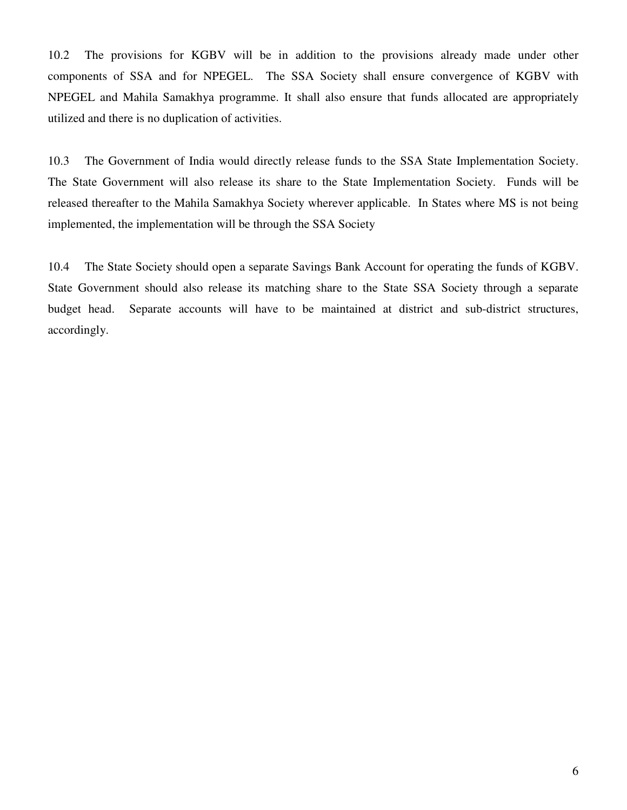10.2 The provisions for KGBV will be in addition to the provisions already made under other components of SSA and for NPEGEL. The SSA Society shall ensure convergence of KGBV with NPEGEL and Mahila Samakhya programme. It shall also ensure that funds allocated are appropriately utilized and there is no duplication of activities.

10.3 The Government of India would directly release funds to the SSA State Implementation Society. The State Government will also release its share to the State Implementation Society. Funds will be released thereafter to the Mahila Samakhya Society wherever applicable. In States where MS is not being implemented, the implementation will be through the SSA Society

10.4 The State Society should open a separate Savings Bank Account for operating the funds of KGBV. State Government should also release its matching share to the State SSA Society through a separate budget head. Separate accounts will have to be maintained at district and sub-district structures, accordingly.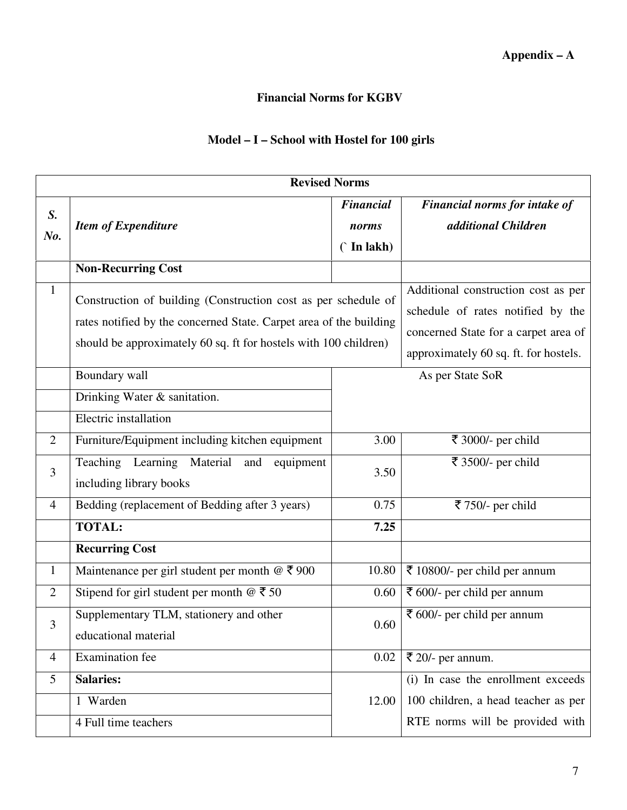## **Financial Norms for KGBV**

# **Model – I – School with Hostel for 100 girls**

| <b>Revised Norms</b> |                                                                                                                                                                                                          |                         |                                                                               |
|----------------------|----------------------------------------------------------------------------------------------------------------------------------------------------------------------------------------------------------|-------------------------|-------------------------------------------------------------------------------|
| S.                   |                                                                                                                                                                                                          | <b>Financial</b>        | Financial norms for intake of                                                 |
|                      | <b>Item of Expenditure</b>                                                                                                                                                                               | norms                   | additional Children                                                           |
| No.                  |                                                                                                                                                                                                          | $\hat{\Gamma}$ In lakh) |                                                                               |
|                      | <b>Non-Recurring Cost</b>                                                                                                                                                                                |                         |                                                                               |
| $\mathbf{1}$         | Construction of building (Construction cost as per schedule of<br>rates notified by the concerned State. Carpet area of the building<br>should be approximately 60 sq. ft for hostels with 100 children) |                         | Additional construction cost as per<br>schedule of rates notified by the      |
|                      |                                                                                                                                                                                                          |                         | concerned State for a carpet area of<br>approximately 60 sq. ft. for hostels. |
|                      | Boundary wall                                                                                                                                                                                            |                         | As per State SoR                                                              |
|                      | Drinking Water & sanitation.                                                                                                                                                                             |                         |                                                                               |
|                      | Electric installation                                                                                                                                                                                    |                         |                                                                               |
| $\overline{2}$       | Furniture/Equipment including kitchen equipment                                                                                                                                                          | 3.00                    | ₹ 3000/- per child                                                            |
| 3                    | Teaching Learning Material<br>and<br>equipment<br>including library books                                                                                                                                | 3.50                    | ₹ 3500/- per child                                                            |
| $\overline{4}$       | Bedding (replacement of Bedding after 3 years)                                                                                                                                                           | 0.75                    | ₹ 750/- per child                                                             |
|                      | <b>TOTAL:</b>                                                                                                                                                                                            | 7.25                    |                                                                               |
|                      | <b>Recurring Cost</b>                                                                                                                                                                                    |                         |                                                                               |
| $\mathbf{1}$         | Maintenance per girl student per month $@ \xi 900$                                                                                                                                                       | 10.80                   | ₹ 10800/- per child per annum                                                 |
| $\overline{2}$       | Stipend for girl student per month $@ \t350$                                                                                                                                                             | 0.60                    | ₹ 600/- per child per annum                                                   |
| 3                    | Supplementary TLM, stationery and other<br>educational material                                                                                                                                          | 0.60                    | ₹ 600/- per child per annum                                                   |
| 4                    | <b>Examination</b> fee                                                                                                                                                                                   | 0.02                    | ₹ 20/- per annum.                                                             |
| 5                    | <b>Salaries:</b>                                                                                                                                                                                         |                         | (i) In case the enrollment exceeds                                            |
|                      | 1 Warden                                                                                                                                                                                                 | 12.00                   | 100 children, a head teacher as per                                           |
|                      | 4 Full time teachers                                                                                                                                                                                     |                         | RTE norms will be provided with                                               |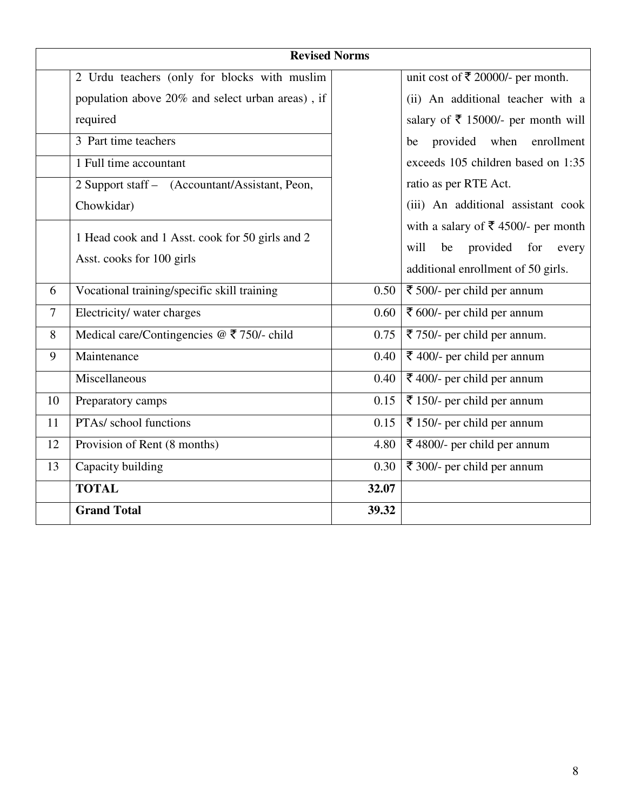|                | <b>Revised Norms</b>                             |       |                                                    |
|----------------|--------------------------------------------------|-------|----------------------------------------------------|
|                | 2 Urdu teachers (only for blocks with muslim     |       | unit cost of ₹ 20000/- per month.                  |
|                | population above 20% and select urban areas), if |       | (ii) An additional teacher with a                  |
|                | required                                         |       | salary of ₹ 15000/- per month will                 |
|                | 3 Part time teachers                             |       | provided when<br>enrollment<br>be                  |
|                | 1 Full time accountant                           |       | exceeds 105 children based on 1:35                 |
|                | 2 Support staff - (Accountant/Assistant, Peon,   |       | ratio as per RTE Act.                              |
|                | Chowkidar)                                       |       | (iii) An additional assistant cook                 |
|                | 1 Head cook and 1 Asst. cook for 50 girls and 2  |       | with a salary of $\overline{\xi}$ 4500/- per month |
|                |                                                  |       | provided for<br>will<br>be<br>every                |
|                | Asst. cooks for 100 girls                        |       | additional enrollment of 50 girls.                 |
| 6              | Vocational training/specific skill training      | 0.50  | ₹ 500/- per child per annum                        |
| $\overline{7}$ | Electricity/ water charges                       | 0.60  | ₹ 600/- per child per annum                        |
| 8              | Medical care/Contingencies $@ \xi 750$ /- child  | 0.75  | ₹ 750/- per child per annum.                       |
| 9              | Maintenance                                      | 0.40  | ₹ 400/- per child per annum                        |
|                | Miscellaneous                                    | 0.40  | ₹ 400/- per child per annum                        |
| 10             | Preparatory camps                                | 0.15  | ₹ 150/- per child per annum                        |
| 11             | PTAs/ school functions                           | 0.15  | ₹ 150/- per child per annum                        |
| 12             | Provision of Rent (8 months)                     | 4.80  | ₹ 4800/- per child per annum                       |
| 13             | Capacity building                                | 0.30  | ₹ 300/- per child per annum                        |
|                | <b>TOTAL</b>                                     | 32.07 |                                                    |
|                | <b>Grand Total</b>                               | 39.32 |                                                    |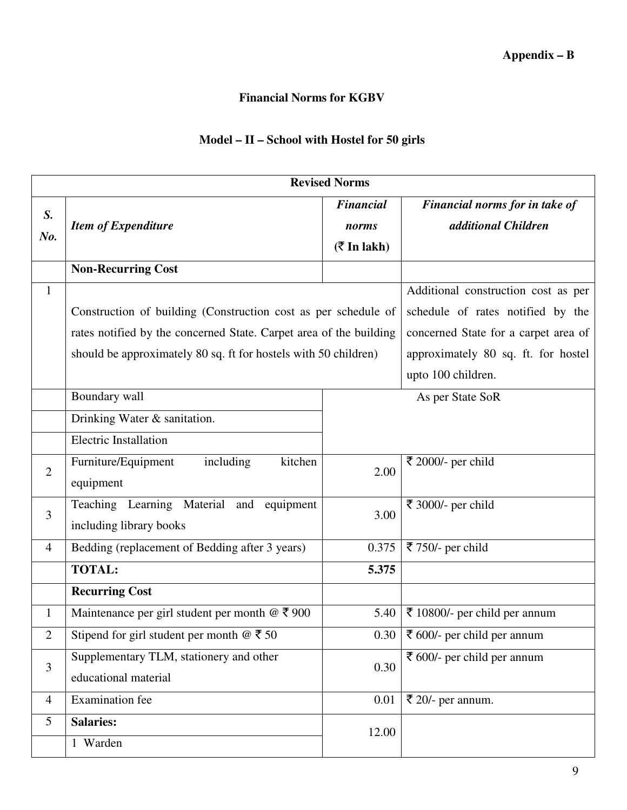## **Financial Norms for KGBV**

# **Model – II – School with Hostel for 50 girls**

| <b>Revised Norms</b>                                                                                                                  |                                    |                                       |  |
|---------------------------------------------------------------------------------------------------------------------------------------|------------------------------------|---------------------------------------|--|
|                                                                                                                                       | <b>Financial</b>                   | Financial norms for in take of        |  |
| <b>Item of Expenditure</b>                                                                                                            | norms                              | additional Children                   |  |
|                                                                                                                                       | $(\bar{\bar{\mathbf{x}}}$ In lakh) |                                       |  |
| <b>Non-Recurring Cost</b>                                                                                                             |                                    |                                       |  |
|                                                                                                                                       |                                    | Additional construction cost as per   |  |
| Construction of building (Construction cost as per schedule of                                                                        |                                    | schedule of rates notified by the     |  |
| rates notified by the concerned State. Carpet area of the building<br>should be approximately 80 sq. ft for hostels with 50 children) |                                    | concerned State for a carpet area of  |  |
|                                                                                                                                       |                                    | approximately 80 sq. ft. for hostel   |  |
|                                                                                                                                       |                                    | upto 100 children.                    |  |
| Boundary wall                                                                                                                         |                                    | As per State SoR                      |  |
| Drinking Water & sanitation.                                                                                                          |                                    |                                       |  |
| <b>Electric Installation</b>                                                                                                          |                                    |                                       |  |
| including<br>kitchen<br>Furniture/Equipment                                                                                           | 2.00                               | ₹ 2000/- per child                    |  |
| equipment                                                                                                                             |                                    |                                       |  |
| Teaching Learning Material and<br>equipment                                                                                           |                                    | ₹ 3000/- per child                    |  |
| including library books                                                                                                               |                                    |                                       |  |
| Bedding (replacement of Bedding after 3 years)                                                                                        | 0.375                              | ₹ 750/- per child                     |  |
| <b>TOTAL:</b>                                                                                                                         | 5.375                              |                                       |  |
| <b>Recurring Cost</b>                                                                                                                 |                                    |                                       |  |
| Maintenance per girl student per month $@ \space \overline{\mathcal{F}}\space 900$                                                    | 5.40                               | ₹ 10800/- per child per annum         |  |
| Stipend for girl student per month $\omega \bar{\tau}$ 50                                                                             |                                    | $\bar{\xi}$ 600/- per child per annum |  |
| Supplementary TLM, stationery and other                                                                                               |                                    | ₹ 600/- per child per annum           |  |
| educational material                                                                                                                  |                                    |                                       |  |
| <b>Examination</b> fee                                                                                                                | 0.01                               | ₹ 20/- per annum.                     |  |
| <b>Salaries:</b>                                                                                                                      |                                    |                                       |  |
| 1 Warden                                                                                                                              |                                    |                                       |  |
|                                                                                                                                       |                                    | 3.00<br>0.30<br>0.30<br>12.00         |  |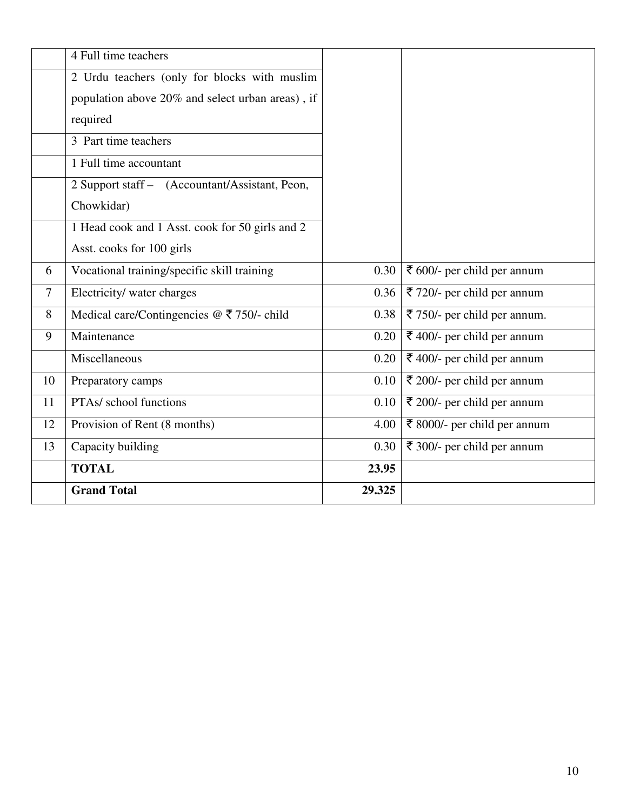|                | 4 Full time teachers                                                     |        |                              |
|----------------|--------------------------------------------------------------------------|--------|------------------------------|
|                | 2 Urdu teachers (only for blocks with muslim                             |        |                              |
|                | population above 20% and select urban areas), if                         |        |                              |
|                | required                                                                 |        |                              |
|                | 3 Part time teachers                                                     |        |                              |
|                | 1 Full time accountant                                                   |        |                              |
|                | 2 Support staff - (Accountant/Assistant, Peon,                           |        |                              |
|                | Chowkidar)                                                               |        |                              |
|                | 1 Head cook and 1 Asst. cook for 50 girls and 2                          |        |                              |
|                | Asst. cooks for 100 girls                                                |        |                              |
| 6              | Vocational training/specific skill training                              | 0.30   | ₹ 600/- per child per annum  |
| $\overline{7}$ | Electricity/ water charges                                               | 0.36   | ₹ 720/- per child per annum  |
| 8              | Medical care/Contingencies $@ \space \overline{\mathcal{F}}$ 750/- child | 0.38   | ₹ 750/- per child per annum. |
| 9              | Maintenance                                                              | 0.20   | ₹ 400/- per child per annum  |
|                | Miscellaneous                                                            | 0.20   | ₹ 400/- per child per annum  |
| 10             | Preparatory camps                                                        | 0.10   | ₹ 200/- per child per annum  |
| 11             | PTAs/ school functions                                                   | 0.10   | ₹ 200/- per child per annum  |
| 12             | Provision of Rent (8 months)                                             | 4.00   | ₹ 8000/- per child per annum |
| 13             | Capacity building                                                        | 0.30   | ₹ 300/- per child per annum  |
|                | <b>TOTAL</b>                                                             | 23.95  |                              |
|                | <b>Grand Total</b>                                                       | 29.325 |                              |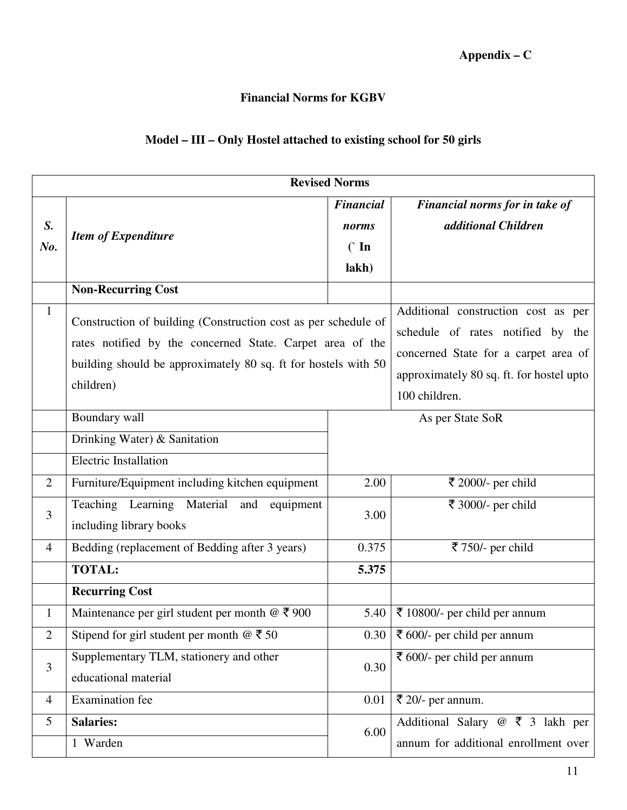## **Financial Norms for KGBV**

## **Model – III – Only Hostel attached to existing school for 50 girls**

| <b>Revised Norms</b> |                                                                                                                                          |                  |                                          |
|----------------------|------------------------------------------------------------------------------------------------------------------------------------------|------------------|------------------------------------------|
|                      |                                                                                                                                          | <b>Financial</b> | Financial norms for in take of           |
| S.                   | <b>Item of Expenditure</b>                                                                                                               | norms            | additional Children                      |
| No.                  |                                                                                                                                          | $\hat{C}$ In     |                                          |
|                      |                                                                                                                                          | lakh)            |                                          |
|                      | <b>Non-Recurring Cost</b>                                                                                                                |                  |                                          |
| $\mathbf{1}$         | Construction of building (Construction cost as per schedule of                                                                           |                  | Additional construction cost as per      |
|                      | rates notified by the concerned State. Carpet area of the<br>building should be approximately 80 sq. ft for hostels with 50<br>children) |                  | schedule of rates notified by the        |
|                      |                                                                                                                                          |                  | concerned State for a carpet area of     |
|                      |                                                                                                                                          |                  | approximately 80 sq. ft. for hostel upto |
|                      |                                                                                                                                          |                  | 100 children.                            |
|                      | Boundary wall                                                                                                                            |                  | As per State SoR                         |
|                      | Drinking Water) & Sanitation                                                                                                             |                  |                                          |
|                      | <b>Electric Installation</b>                                                                                                             |                  |                                          |
| $\overline{2}$       | Furniture/Equipment including kitchen equipment                                                                                          | 2.00             | ₹ 2000/- per child                       |
| 3                    | Teaching Learning Material and<br>equipment                                                                                              | 3.00             | ₹ 3000/- per child                       |
|                      | including library books                                                                                                                  |                  |                                          |
| 4                    | Bedding (replacement of Bedding after 3 years)                                                                                           | 0.375            | ₹ 750/- per child                        |
|                      | <b>TOTAL:</b>                                                                                                                            | 5.375            |                                          |
|                      | <b>Recurring Cost</b>                                                                                                                    |                  |                                          |
| $\mathbf{1}$         | Maintenance per girl student per month $@ \space \overline{\mathcal{F}}\space 900$                                                       | 5.40             | ₹ 10800/- per child per annum            |
| $\overline{2}$       | Stipend for girl student per month $\omega \, \bar{\mathbf{z}}$ 50                                                                       | 0.30             | ₹ 600/- per child per annum              |
| 3                    | Supplementary TLM, stationery and other                                                                                                  | 0.30             | ₹ 600/- per child per annum              |
|                      | educational material                                                                                                                     |                  |                                          |
| $\overline{4}$       | <b>Examination</b> fee                                                                                                                   | 0.01             | ₹ 20/- per annum.                        |
| 5                    | <b>Salaries:</b>                                                                                                                         | 6.00             | Additional Salary $@ \t3$ lakh per       |
|                      | 1 Warden                                                                                                                                 |                  | annum for additional enrollment over     |